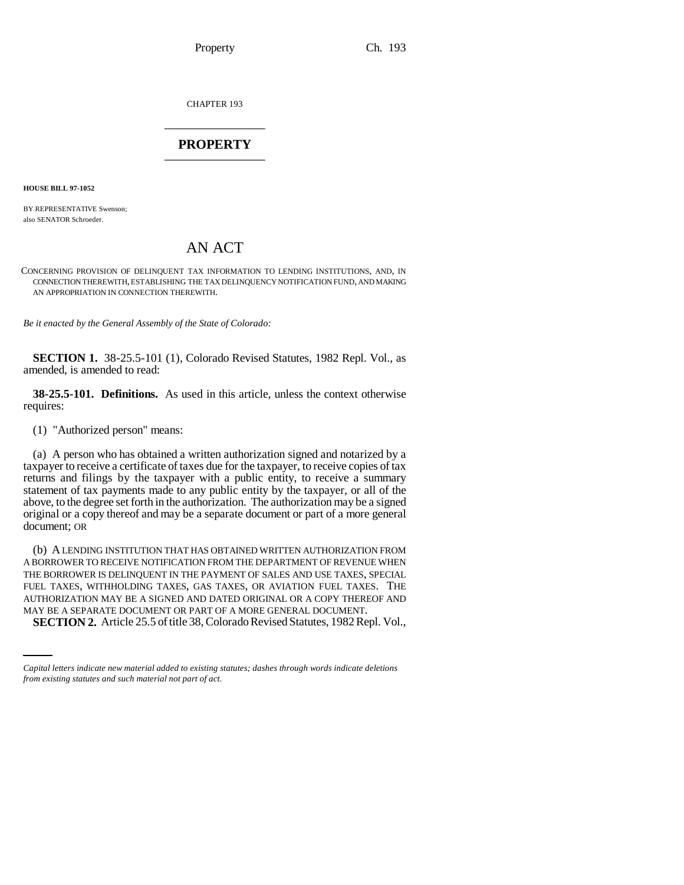Property Ch. 193

CHAPTER 193 \_\_\_\_\_\_\_\_\_\_\_\_\_\_\_

## **PROPERTY** \_\_\_\_\_\_\_\_\_\_\_\_\_\_\_

**HOUSE BILL 97-1052**

BY REPRESENTATIVE Swenson; also SENATOR Schroeder.

## AN ACT

CONCERNING PROVISION OF DELINQUENT TAX INFORMATION TO LENDING INSTITUTIONS, AND, IN CONNECTION THEREWITH, ESTABLISHING THE TAX DELINQUENCY NOTIFICATION FUND, AND MAKING AN APPROPRIATION IN CONNECTION THEREWITH.

*Be it enacted by the General Assembly of the State of Colorado:*

**SECTION 1.** 38-25.5-101 (1), Colorado Revised Statutes, 1982 Repl. Vol., as amended, is amended to read:

**38-25.5-101. Definitions.** As used in this article, unless the context otherwise requires:

(1) "Authorized person" means:

(a) A person who has obtained a written authorization signed and notarized by a taxpayer to receive a certificate of taxes due for the taxpayer, to receive copies of tax returns and filings by the taxpayer with a public entity, to receive a summary statement of tax payments made to any public entity by the taxpayer, or all of the above, to the degree set forth in the authorization. The authorization may be a signed original or a copy thereof and may be a separate document or part of a more general document; OR

AUTHORIZATION MAY BE A SIGNED AND DATED ORIGINAL OR A COPY THEREOF AND (b) A LENDING INSTITUTION THAT HAS OBTAINED WRITTEN AUTHORIZATION FROM A BORROWER TO RECEIVE NOTIFICATION FROM THE DEPARTMENT OF REVENUE WHEN THE BORROWER IS DELINQUENT IN THE PAYMENT OF SALES AND USE TAXES, SPECIAL FUEL TAXES, WITHHOLDING TAXES, GAS TAXES, OR AVIATION FUEL TAXES. THE MAY BE A SEPARATE DOCUMENT OR PART OF A MORE GENERAL DOCUMENT.

**SECTION 2.** Article 25.5 of title 38, Colorado Revised Statutes, 1982 Repl. Vol.,

*Capital letters indicate new material added to existing statutes; dashes through words indicate deletions from existing statutes and such material not part of act.*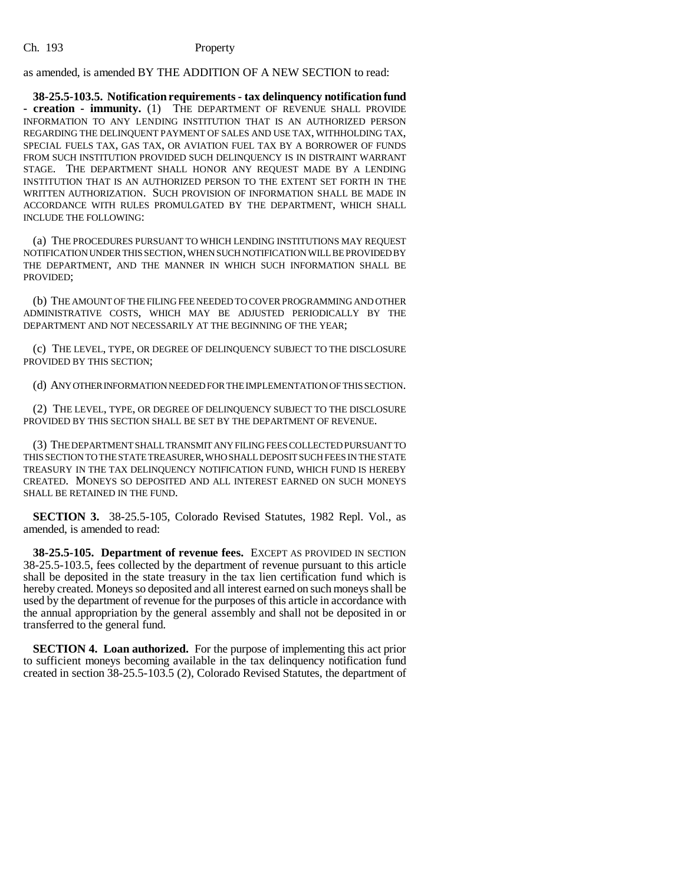as amended, is amended BY THE ADDITION OF A NEW SECTION to read:

**38-25.5-103.5. Notification requirements - tax delinquency notification fund - creation - immunity.** (1) THE DEPARTMENT OF REVENUE SHALL PROVIDE INFORMATION TO ANY LENDING INSTITUTION THAT IS AN AUTHORIZED PERSON REGARDING THE DELINQUENT PAYMENT OF SALES AND USE TAX, WITHHOLDING TAX, SPECIAL FUELS TAX, GAS TAX, OR AVIATION FUEL TAX BY A BORROWER OF FUNDS FROM SUCH INSTITUTION PROVIDED SUCH DELINQUENCY IS IN DISTRAINT WARRANT STAGE. THE DEPARTMENT SHALL HONOR ANY REQUEST MADE BY A LENDING INSTITUTION THAT IS AN AUTHORIZED PERSON TO THE EXTENT SET FORTH IN THE WRITTEN AUTHORIZATION. SUCH PROVISION OF INFORMATION SHALL BE MADE IN ACCORDANCE WITH RULES PROMULGATED BY THE DEPARTMENT, WHICH SHALL INCLUDE THE FOLLOWING:

(a) THE PROCEDURES PURSUANT TO WHICH LENDING INSTITUTIONS MAY REQUEST NOTIFICATION UNDER THIS SECTION, WHEN SUCH NOTIFICATION WILL BE PROVIDED BY THE DEPARTMENT, AND THE MANNER IN WHICH SUCH INFORMATION SHALL BE PROVIDED;

(b) THE AMOUNT OF THE FILING FEE NEEDED TO COVER PROGRAMMING AND OTHER ADMINISTRATIVE COSTS, WHICH MAY BE ADJUSTED PERIODICALLY BY THE DEPARTMENT AND NOT NECESSARILY AT THE BEGINNING OF THE YEAR;

(c) THE LEVEL, TYPE, OR DEGREE OF DELINQUENCY SUBJECT TO THE DISCLOSURE PROVIDED BY THIS SECTION;

(d) ANY OTHER INFORMATION NEEDED FOR THE IMPLEMENTATION OF THIS SECTION.

(2) THE LEVEL, TYPE, OR DEGREE OF DELINQUENCY SUBJECT TO THE DISCLOSURE PROVIDED BY THIS SECTION SHALL BE SET BY THE DEPARTMENT OF REVENUE.

(3) THE DEPARTMENT SHALL TRANSMIT ANY FILING FEES COLLECTED PURSUANT TO THIS SECTION TO THE STATE TREASURER, WHO SHALL DEPOSIT SUCH FEES IN THE STATE TREASURY IN THE TAX DELINQUENCY NOTIFICATION FUND, WHICH FUND IS HEREBY CREATED. MONEYS SO DEPOSITED AND ALL INTEREST EARNED ON SUCH MONEYS SHALL BE RETAINED IN THE FUND.

**SECTION 3.** 38-25.5-105, Colorado Revised Statutes, 1982 Repl. Vol., as amended, is amended to read:

**38-25.5-105. Department of revenue fees.** EXCEPT AS PROVIDED IN SECTION 38-25.5-103.5, fees collected by the department of revenue pursuant to this article shall be deposited in the state treasury in the tax lien certification fund which is hereby created. Moneys so deposited and all interest earned on such moneys shall be used by the department of revenue for the purposes of this article in accordance with the annual appropriation by the general assembly and shall not be deposited in or transferred to the general fund.

**SECTION 4. Loan authorized.** For the purpose of implementing this act prior to sufficient moneys becoming available in the tax delinquency notification fund created in section 38-25.5-103.5 (2), Colorado Revised Statutes, the department of